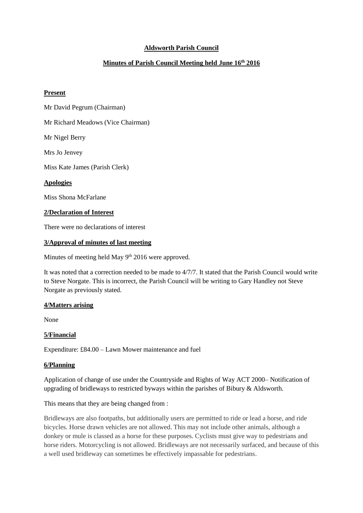# **Aldsworth Parish Council**

# **Minutes of Parish Council Meeting held June 16th 2016**

#### **Present**

Mr David Pegrum (Chairman)

Mr Richard Meadows (Vice Chairman)

Mr Nigel Berry

Mrs Jo Jenvey

Miss Kate James (Parish Clerk)

**Apologies**

Miss Shona McFarlane

#### **2/Declaration of Interest**

There were no declarations of interest

## **3/Approval of minutes of last meeting**

Minutes of meeting held May  $9<sup>th</sup> 2016$  were approved.

It was noted that a correction needed to be made to 4/7/7. It stated that the Parish Council would write to Steve Norgate. This is incorrect, the Parish Council will be writing to Gary Handley not Steve Norgate as previously stated.

## **4/Matters arising**

None

## **5/Financial**

Expenditure: £84.00 – Lawn Mower maintenance and fuel

#### **6/Planning**

Application of change of use under the Countryside and Rights of Way ACT 2000– Notification of upgrading of bridleways to restricted byways within the parishes of Bibury & Aldsworth.

This means that they are being changed from :

Bridleways are also footpaths, but additionally users are permitted to ride or lead a horse, and ride bicycles. Horse drawn vehicles are not allowed. This may not include other animals, although a donkey or mule is classed as a horse for these purposes. Cyclists must give way to pedestrians and horse riders. Motorcycling is not allowed. Bridleways are not necessarily surfaced, and because of this a well used bridleway can sometimes be effectively impassable for pedestrians.